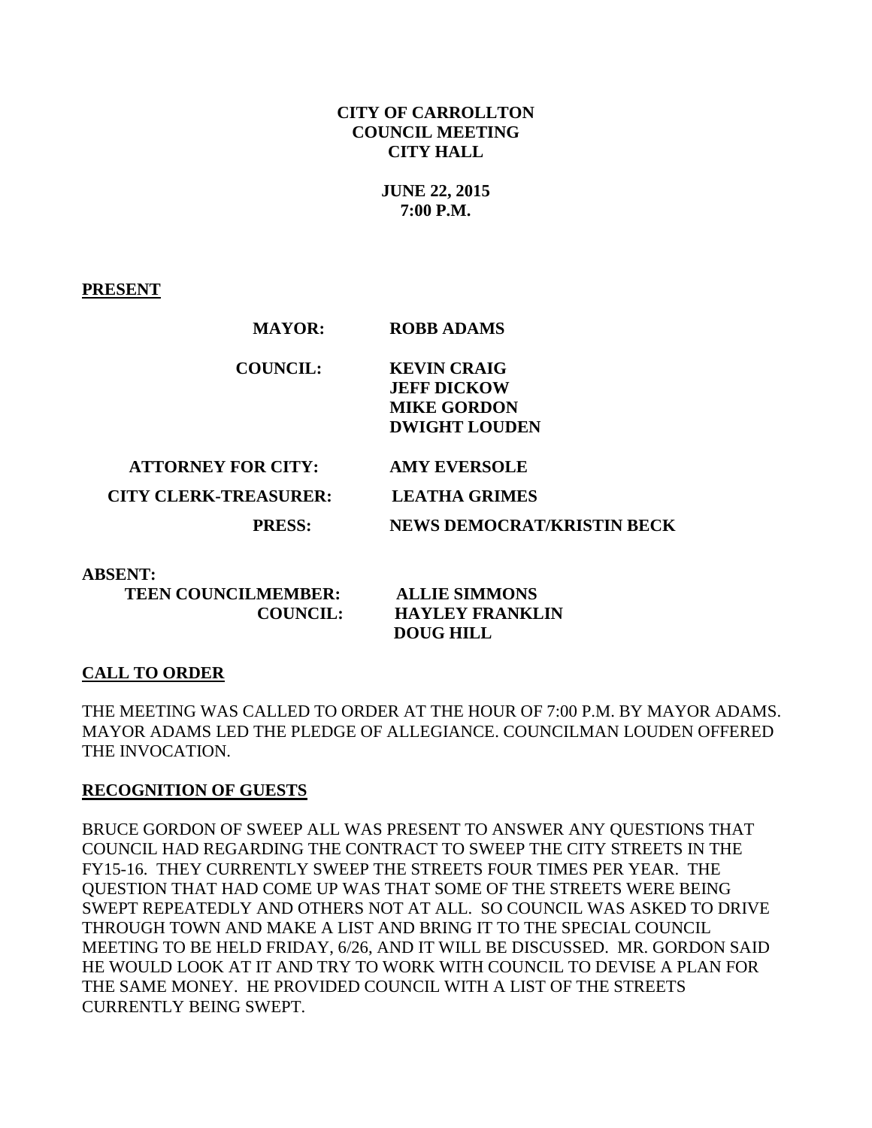#### **CITY OF CARROLLTON COUNCIL MEETING CITY HALL**

**JUNE 22, 2015 7:00 P.M.**

**PRESENT**

| MAYOR:                       | RUBB ADAMS                        |
|------------------------------|-----------------------------------|
| <b>COUNCIL:</b>              | <b>KEVIN CRAIG</b>                |
|                              | <b>JEFF DICKOW</b>                |
|                              | <b>MIKE GORDON</b>                |
|                              | <b>DWIGHT LOUDEN</b>              |
|                              |                                   |
| <b>ATTORNEY FOR CITY:</b>    | <b>AMY EVERSOLE</b>               |
| <b>CITY CLERK-TREASURER:</b> | <b>LEATHA GRIMES</b>              |
| <b>PRESS:</b>                | <b>NEWS DEMOCRAT/KRISTIN BECK</b> |
|                              |                                   |

 **MAYOR: ROBB ADAMS**

**ABSENT:** 

 **TEEN COUNCILMEMBER: ALLIE SIMMONS**

 **COUNCIL: HAYLEY FRANKLIN DOUG HILL** 

## **CALL TO ORDER**

THE MEETING WAS CALLED TO ORDER AT THE HOUR OF 7:00 P.M. BY MAYOR ADAMS. MAYOR ADAMS LED THE PLEDGE OF ALLEGIANCE. COUNCILMAN LOUDEN OFFERED THE INVOCATION.

## **RECOGNITION OF GUESTS**

BRUCE GORDON OF SWEEP ALL WAS PRESENT TO ANSWER ANY QUESTIONS THAT COUNCIL HAD REGARDING THE CONTRACT TO SWEEP THE CITY STREETS IN THE FY15-16. THEY CURRENTLY SWEEP THE STREETS FOUR TIMES PER YEAR. THE QUESTION THAT HAD COME UP WAS THAT SOME OF THE STREETS WERE BEING SWEPT REPEATEDLY AND OTHERS NOT AT ALL. SO COUNCIL WAS ASKED TO DRIVE THROUGH TOWN AND MAKE A LIST AND BRING IT TO THE SPECIAL COUNCIL MEETING TO BE HELD FRIDAY, 6/26, AND IT WILL BE DISCUSSED. MR. GORDON SAID HE WOULD LOOK AT IT AND TRY TO WORK WITH COUNCIL TO DEVISE A PLAN FOR THE SAME MONEY. HE PROVIDED COUNCIL WITH A LIST OF THE STREETS CURRENTLY BEING SWEPT.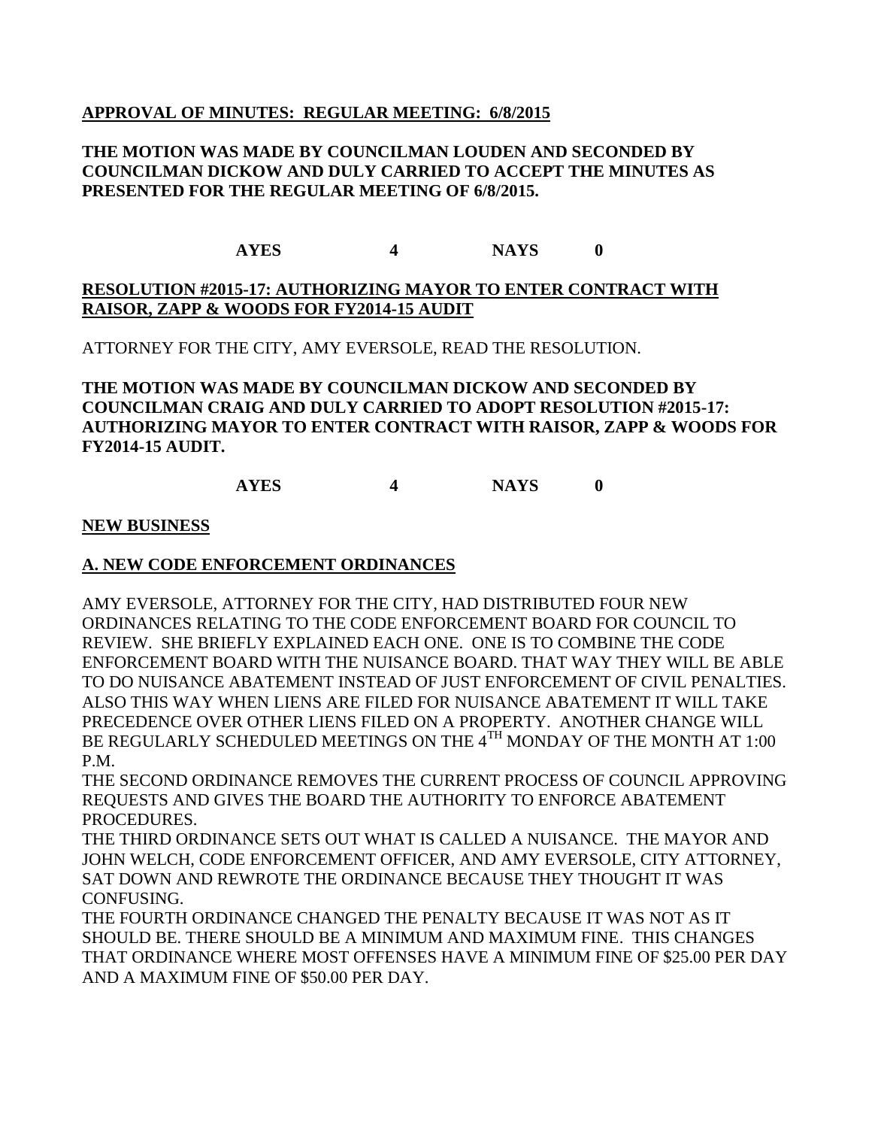#### **APPROVAL OF MINUTES: REGULAR MEETING: 6/8/2015**

#### **THE MOTION WAS MADE BY COUNCILMAN LOUDEN AND SECONDED BY COUNCILMAN DICKOW AND DULY CARRIED TO ACCEPT THE MINUTES AS PRESENTED FOR THE REGULAR MEETING OF 6/8/2015.**

# **AYES 4 NAYS 0**

# **RESOLUTION #2015-17: AUTHORIZING MAYOR TO ENTER CONTRACT WITH RAISOR, ZAPP & WOODS FOR FY2014-15 AUDIT**

ATTORNEY FOR THE CITY, AMY EVERSOLE, READ THE RESOLUTION.

# **THE MOTION WAS MADE BY COUNCILMAN DICKOW AND SECONDED BY COUNCILMAN CRAIG AND DULY CARRIED TO ADOPT RESOLUTION #2015-17: AUTHORIZING MAYOR TO ENTER CONTRACT WITH RAISOR, ZAPP & WOODS FOR FY2014-15 AUDIT.**

# **AYES 4 NAYS 0**

#### **NEW BUSINESS**

## **A. NEW CODE ENFORCEMENT ORDINANCES**

AMY EVERSOLE, ATTORNEY FOR THE CITY, HAD DISTRIBUTED FOUR NEW ORDINANCES RELATING TO THE CODE ENFORCEMENT BOARD FOR COUNCIL TO REVIEW. SHE BRIEFLY EXPLAINED EACH ONE. ONE IS TO COMBINE THE CODE ENFORCEMENT BOARD WITH THE NUISANCE BOARD. THAT WAY THEY WILL BE ABLE TO DO NUISANCE ABATEMENT INSTEAD OF JUST ENFORCEMENT OF CIVIL PENALTIES. ALSO THIS WAY WHEN LIENS ARE FILED FOR NUISANCE ABATEMENT IT WILL TAKE PRECEDENCE OVER OTHER LIENS FILED ON A PROPERTY. ANOTHER CHANGE WILL BE REGULARLY SCHEDULED MEETINGS ON THE 4<sup>TH</sup> MONDAY OF THE MONTH AT 1:00 P.M.

THE SECOND ORDINANCE REMOVES THE CURRENT PROCESS OF COUNCIL APPROVING REQUESTS AND GIVES THE BOARD THE AUTHORITY TO ENFORCE ABATEMENT PROCEDURES.

THE THIRD ORDINANCE SETS OUT WHAT IS CALLED A NUISANCE. THE MAYOR AND JOHN WELCH, CODE ENFORCEMENT OFFICER, AND AMY EVERSOLE, CITY ATTORNEY, SAT DOWN AND REWROTE THE ORDINANCE BECAUSE THEY THOUGHT IT WAS CONFUSING.

THE FOURTH ORDINANCE CHANGED THE PENALTY BECAUSE IT WAS NOT AS IT SHOULD BE. THERE SHOULD BE A MINIMUM AND MAXIMUM FINE. THIS CHANGES THAT ORDINANCE WHERE MOST OFFENSES HAVE A MINIMUM FINE OF \$25.00 PER DAY AND A MAXIMUM FINE OF \$50.00 PER DAY.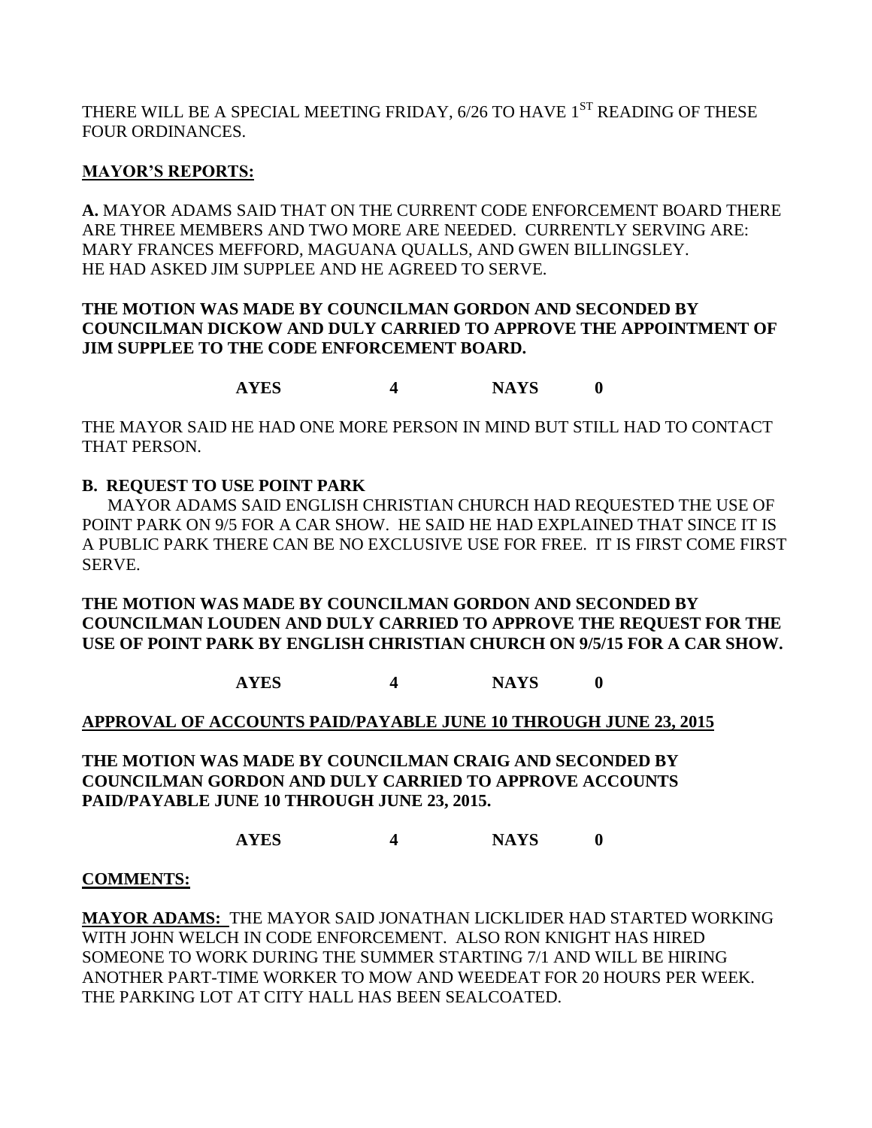THERE WILL BE A SPECIAL MEETING FRIDAY, 6/26 TO HAVE 1<sup>ST</sup> READING OF THESE FOUR ORDINANCES.

# **MAYOR'S REPORTS:**

**A.** MAYOR ADAMS SAID THAT ON THE CURRENT CODE ENFORCEMENT BOARD THERE ARE THREE MEMBERS AND TWO MORE ARE NEEDED. CURRENTLY SERVING ARE: MARY FRANCES MEFFORD, MAGUANA QUALLS, AND GWEN BILLINGSLEY. HE HAD ASKED JIM SUPPLEE AND HE AGREED TO SERVE.

# **THE MOTION WAS MADE BY COUNCILMAN GORDON AND SECONDED BY COUNCILMAN DICKOW AND DULY CARRIED TO APPROVE THE APPOINTMENT OF JIM SUPPLEE TO THE CODE ENFORCEMENT BOARD.**

**AYES 4 NAYS 0**

THE MAYOR SAID HE HAD ONE MORE PERSON IN MIND BUT STILL HAD TO CONTACT THAT PERSON.

# **B. REQUEST TO USE POINT PARK**

MAYOR ADAMS SAID ENGLISH CHRISTIAN CHURCH HAD REQUESTED THE USE OF POINT PARK ON 9/5 FOR A CAR SHOW. HE SAID HE HAD EXPLAINED THAT SINCE IT IS A PUBLIC PARK THERE CAN BE NO EXCLUSIVE USE FOR FREE. IT IS FIRST COME FIRST SERVE.

#### **THE MOTION WAS MADE BY COUNCILMAN GORDON AND SECONDED BY COUNCILMAN LOUDEN AND DULY CARRIED TO APPROVE THE REQUEST FOR THE USE OF POINT PARK BY ENGLISH CHRISTIAN CHURCH ON 9/5/15 FOR A CAR SHOW.**

**AYES 4 NAYS 0**

# **APPROVAL OF ACCOUNTS PAID/PAYABLE JUNE 10 THROUGH JUNE 23, 2015**

**THE MOTION WAS MADE BY COUNCILMAN CRAIG AND SECONDED BY COUNCILMAN GORDON AND DULY CARRIED TO APPROVE ACCOUNTS PAID/PAYABLE JUNE 10 THROUGH JUNE 23, 2015.**

**AYES 4 NAYS 0**

## **COMMENTS:**

**MAYOR ADAMS:** THE MAYOR SAID JONATHAN LICKLIDER HAD STARTED WORKING WITH JOHN WELCH IN CODE ENFORCEMENT. ALSO RON KNIGHT HAS HIRED SOMEONE TO WORK DURING THE SUMMER STARTING 7/1 AND WILL BE HIRING ANOTHER PART-TIME WORKER TO MOW AND WEEDEAT FOR 20 HOURS PER WEEK. THE PARKING LOT AT CITY HALL HAS BEEN SEALCOATED.